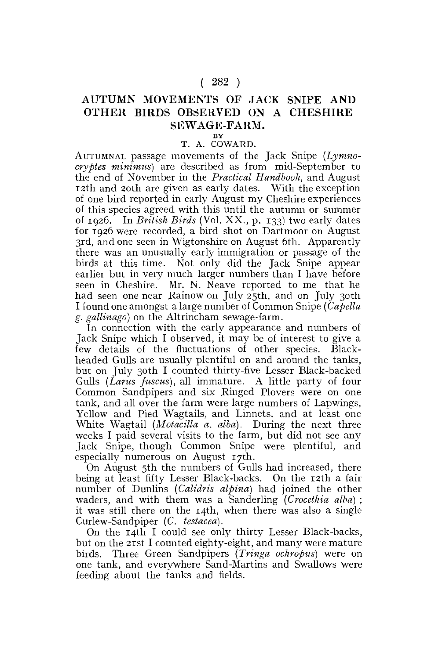## $(282)$

## **AUTUMN MOVEMENTS OF JACK SNIPE AND OTHER BIRDS OBSERVED ON A CHESHIRE SEWAGE-FARM.**

## **BY**  T. A. COWARD.

AUTUMNAL passage movements of the Jack Snipe *(Lymnocryptes minimus)* are described as from mid-September to the end of N6vember in the *Practical Handbook,* and August 12th and 20th are given as early dates. With the exception of one bird reported in early August my Cheshire experiences of this species agreed with this until the autumn or summer of 1926. In *British Birds* (Vol. XX., p. 133) two early dates for 1926 were recorded, a bird shot on Dartmoor on August 3rd, and one seen in Wigtonshire on August 6th. Apparently there was an unusually early immigration or passage of the birds at this time. Not only did the Jack Snipe appear earlier but in very much larger numbers than I have before seen in Cheshire. Mr. N. Neave reported to me that he had seen one near Rainow on July 25th, and on July 30th I found one amongst a large number of Common Snipe *(Capella g. gallinago)* on the Altrincham sewage-farm.

In connection with the early appearance and numbers of Jack Snipe which I observed, it may be of interest to give a few details of the fluctuations of other species. Blackheaded Gulls are usually plentiful on and around the tanks, but on July 30th I counted thirty-five Lesser Black-backed Gulls *(Lams fuscus),* all immature. A little party of four Common Sandpipers and six Ringed Plovers were on one tank, and all over the farm were large numbers of Lapwings, Yellow and Pied Wagtails, and Linnets, and at least one White Wagtail *(Motacilla a. alba).* During the next three weeks I paid several visits to the farm, but did not see any Jack Snipe, though Common Snipe were plentiful, and especially numerous on August 17th.

On August 5th the numbers of Gulls had increased, there being at least fifty Lesser Black-backs. On the 12th a fair number of Dunlins *(Calidris alpina)* had joined the other waders, and with them was a Sanderling *(Crocethia alba)* ; it was still there on the 14th, when there was also a single Curlew-Sandpiper (C. *testacea).* 

On the 14th I could see only thirty Lesser Black-backs, but on the 21st I counted eighty-eight, and many were mature birds. Three Green Sandpipers *(Tringa ochropus)* were on one tank, and everywhere Sand-Martins and Swallows were feeding about the tanks and fields.